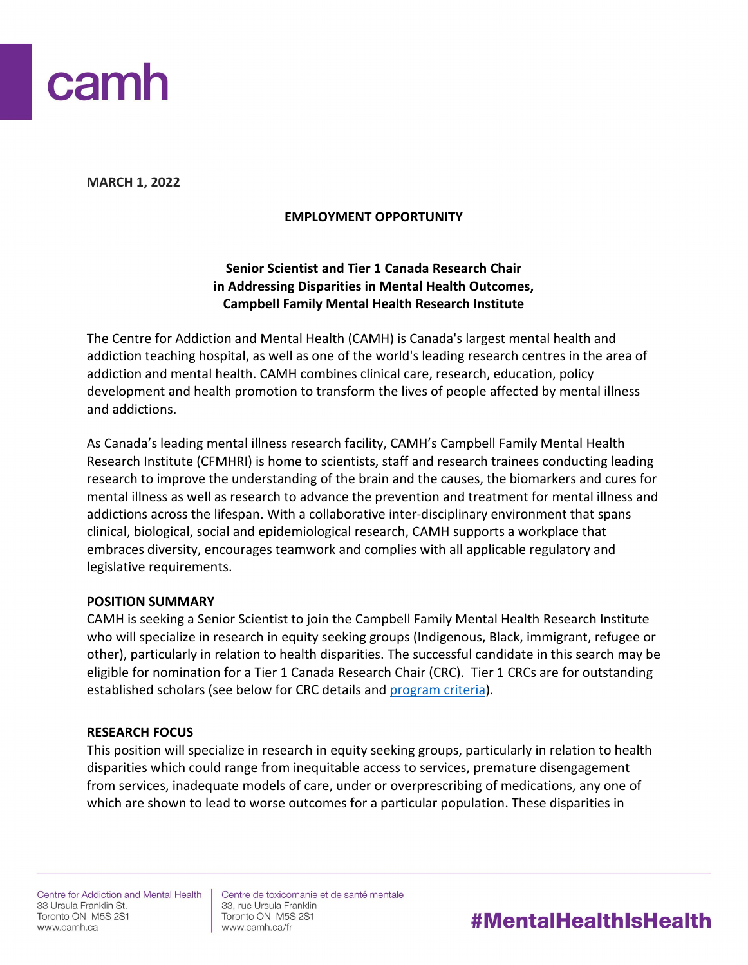

**MARCH 1, 2022**

## **EMPLOYMENT OPPORTUNITY**

## **Senior Scientist and Tier 1 Canada Research Chair in Addressing Disparities in Mental Health Outcomes, Campbell Family Mental Health Research Institute**

The Centre for Addiction and Mental Health (CAMH) is Canada's largest mental health and addiction teaching hospital, as well as one of the world's leading research centres in the area of addiction and mental health. CAMH combines clinical care, research, education, policy development and health promotion to transform the lives of people affected by mental illness and addictions.

As Canada's leading mental illness research facility, CAMH's Campbell Family Mental Health Research Institute (CFMHRI) is home to scientists, staff and research trainees conducting leading research to improve the understanding of the brain and the causes, the biomarkers and cures for mental illness as well as research to advance the prevention and treatment for mental illness and addictions across the lifespan. With a collaborative inter-disciplinary environment that spans clinical, biological, social and epidemiological research, CAMH supports a workplace that embraces diversity, encourages teamwork and complies with all applicable regulatory and legislative requirements.

## **POSITION SUMMARY**

CAMH is seeking a Senior Scientist to join the Campbell Family Mental Health Research Institute who will specialize in research in equity seeking groups (Indigenous, Black, immigrant, refugee or other), particularly in relation to health disparities. The successful candidate in this search may be eligible for nomination for a Tier 1 Canada Research Chair (CRC). Tier 1 CRCs are for outstanding established scholars (see below for CRC details and [program criteria\)](http://www.chairs-chaires.gc.ca/program-programme/nomination-mise_en_candidature-eng.aspx#s7).

## **RESEARCH FOCUS**

This position will specialize in research in equity seeking groups, particularly in relation to health disparities which could range from inequitable access to services, premature disengagement from services, inadequate models of care, under or overprescribing of medications, any one of which are shown to lead to worse outcomes for a particular population. These disparities in

Centre for Addiction and Mental Health 33 Ursula Franklin St. Toronto ON M5S 2S1 www.camh.ca

Centre de toxicomanie et de santé mentale 33, rue Ursula Franklin Toronto ON M5S 2S1 www.camh.ca/fr

# **#MentalHealthIsHealth**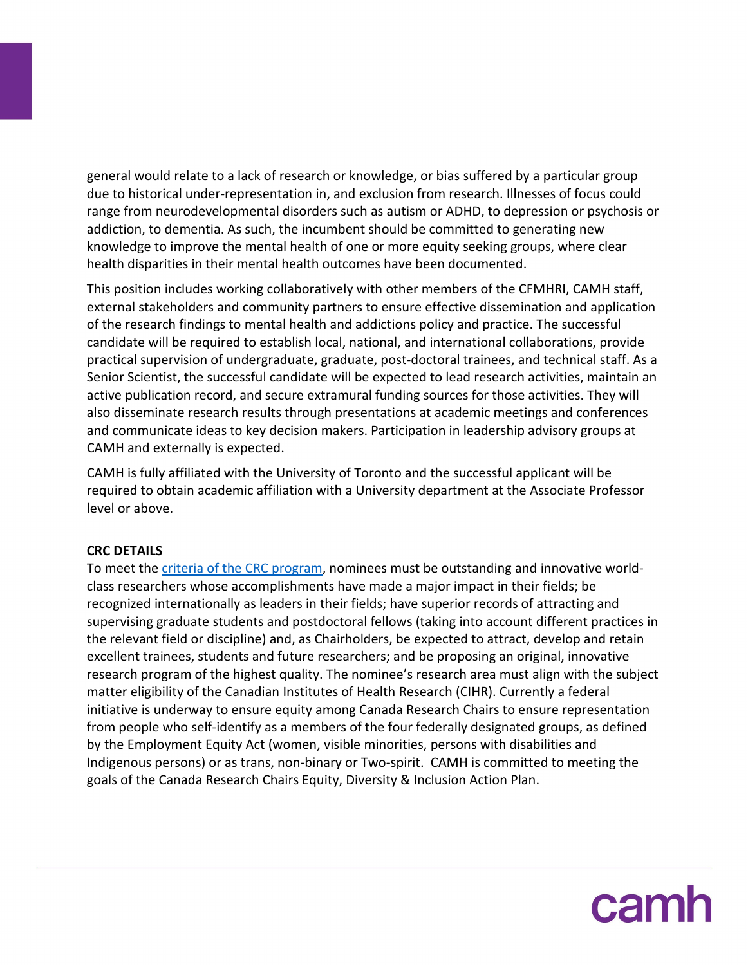general would relate to a lack of research or knowledge, or bias suffered by a particular group due to historical under-representation in, and exclusion from research. Illnesses of focus could range from neurodevelopmental disorders such as autism or ADHD, to depression or psychosis or addiction, to dementia. As such, the incumbent should be committed to generating new knowledge to improve the mental health of one or more equity seeking groups, where clear health disparities in their mental health outcomes have been documented.

This position includes working collaboratively with other members of the CFMHRI, CAMH staff, external stakeholders and community partners to ensure effective dissemination and application of the research findings to mental health and addictions policy and practice. The successful candidate will be required to establish local, national, and international collaborations, provide practical supervision of undergraduate, graduate, post-doctoral trainees, and technical staff. As a Senior Scientist, the successful candidate will be expected to lead research activities, maintain an active publication record, and secure extramural funding sources for those activities. They will also disseminate research results through presentations at academic meetings and conferences and communicate ideas to key decision makers. Participation in leadership advisory groups at CAMH and externally is expected.

CAMH is fully affiliated with the University of Toronto and the successful applicant will be required to obtain academic affiliation with a University department at the Associate Professor level or above.

## **CRC DETAILS**

To meet the *criteria of the CRC program*, nominees must be outstanding and innovative worldclass researchers whose accomplishments have made a major impact in their fields; be recognized internationally as leaders in their fields; have superior records of attracting and supervising graduate students and postdoctoral fellows (taking into account different practices in the relevant field or discipline) and, as Chairholders, be expected to attract, develop and retain excellent trainees, students and future researchers; and be proposing an original, innovative research program of the highest quality. The nominee's research area must align with the subject matter eligibility of the Canadian Institutes of Health Research (CIHR). Currently a federal initiative is underway to ensure equity among Canada Research Chairs to ensure representation from people who self-identify as a members of the four federally designated groups, as defined by the Employment Equity Act (women, visible minorities, persons with disabilities and Indigenous persons) or as trans, non-binary or Two-spirit. CAMH is committed to meeting the goals of the Canada Research Chairs Equity, Diversity & Inclusion Action Plan.

camh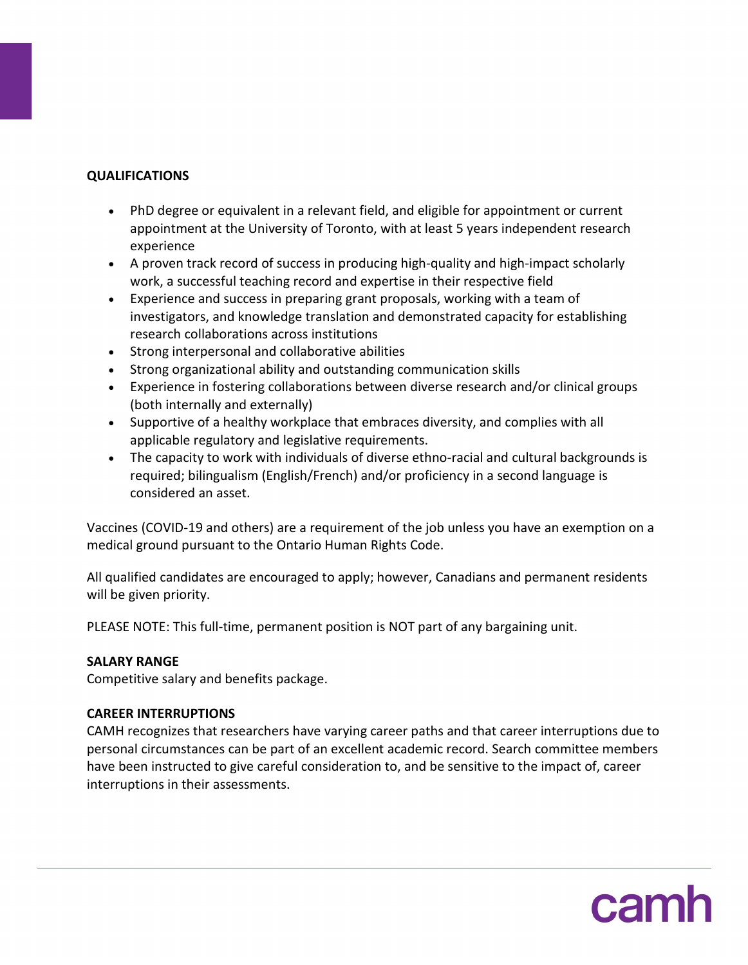## **QUALIFICATIONS**

- PhD degree or equivalent in a relevant field, and eligible for appointment or current appointment at the University of Toronto, with at least 5 years independent research experience
- A proven track record of success in producing high-quality and high-impact scholarly work, a successful teaching record and expertise in their respective field
- Experience and success in preparing grant proposals, working with a team of investigators, and knowledge translation and demonstrated capacity for establishing research collaborations across institutions
- Strong interpersonal and collaborative abilities
- Strong organizational ability and outstanding communication skills
- Experience in fostering collaborations between diverse research and/or clinical groups (both internally and externally)
- Supportive of a healthy workplace that embraces diversity, and complies with all applicable regulatory and legislative requirements.
- The capacity to work with individuals of diverse ethno-racial and cultural backgrounds is required; bilingualism (English/French) and/or proficiency in a second language is considered an asset.

Vaccines (COVID-19 and others) are a requirement of the job unless you have an exemption on a medical ground pursuant to the Ontario Human Rights Code.

All qualified candidates are encouraged to apply; however, Canadians and permanent residents will be given priority.

PLEASE NOTE: This full-time, permanent position is NOT part of any bargaining unit.

## **SALARY RANGE**

Competitive salary and benefits package.

## **CAREER INTERRUPTIONS**

CAMH recognizes that researchers have varying career paths and that career interruptions due to personal circumstances can be part of an excellent academic record. Search committee members have been instructed to give careful consideration to, and be sensitive to the impact of, career interruptions in their assessments.

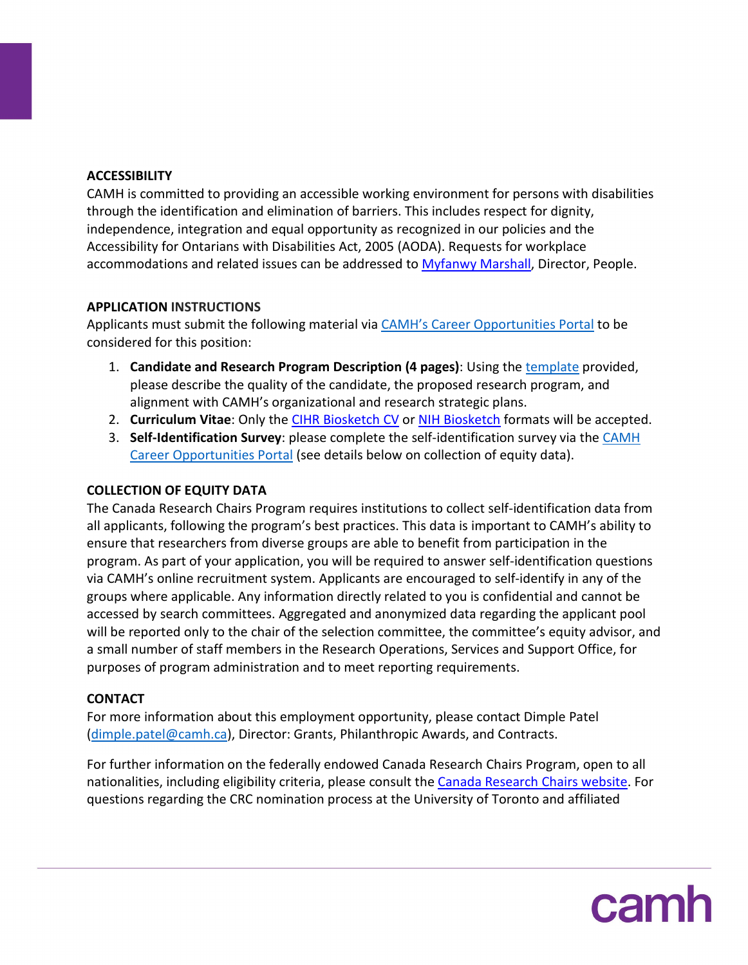## **ACCESSIBILITY**

CAMH is committed to providing an accessible working environment for persons with disabilities through the identification and elimination of barriers. This includes respect for dignity, independence, integration and equal opportunity as recognized in our policies and the Accessibility for Ontarians with Disabilities Act, 2005 (AODA). Requests for workplace accommodations and related issues can be addressed to [Myfanwy Marshall,](mailto:myfanwy.marshall@camh.ca) Director, People.

## **APPLICATION INSTRUCTIONS**

Applicants must submit the following material via [CAMH's Career Opportunities Portal](https://www.recruitingsite.com/csbsites/camh/JobDescription.asp?SuperCategoryCode=15233&JobNumber=894229&lang=en) to be considered for this position:

- 1. **Candidate and Research Program Description (4 pages)**: Using the [template](https://www.camh.ca/-/media/files/Grants-CRC-T1-NOI-template-pdf.pdf) provided, please describe the quality of the candidate, the proposed research program, and alignment with CAMH's organizational and research strategic plans.
- 2. **Curriculum Vitae**: Only the [CIHR Biosketch CV](https://cihr-irsc.gc.ca/e/48437.html) or [NIH Biosketch](https://grants.nih.gov/grants/forms/biosketch.htm) formats will be accepted.
- 3. **Self-Identification Survey**: please complete the self-identification survey via the [CAMH](https://www.recruitingsite.com/csbsites/camh/JobDescription.asp?SuperCategoryCode=15233&JobNumber=894229&lang=en)  [Career Opportunities Portal](https://www.recruitingsite.com/csbsites/camh/JobDescription.asp?SuperCategoryCode=15233&JobNumber=894229&lang=en) (see details below on collection of equity data).

## **COLLECTION OF EQUITY DATA**

The Canada Research Chairs Program requires institutions to collect self-identification data from all applicants, following the program's best practices. This data is important to CAMH's ability to ensure that researchers from diverse groups are able to benefit from participation in the program. As part of your application, you will be required to answer self-identification questions via CAMH's online recruitment system. Applicants are encouraged to self-identify in any of the groups where applicable. Any information directly related to you is confidential and cannot be accessed by search committees. Aggregated and anonymized data regarding the applicant pool will be reported only to the chair of the selection committee, the committee's equity advisor, and a small number of staff members in the Research Operations, Services and Support Office, for purposes of program administration and to meet reporting requirements.

## **CONTACT**

For more information about this employment opportunity, please contact Dimple Patel [\(dimple.patel@camh.ca\)](mailto:dimple.patel@camh.ca), Director: Grants, Philanthropic Awards, and Contracts.

For further information on the federally endowed Canada Research Chairs Program, open to all nationalities, including eligibility criteria, please consult the [Canada Research Chairs website.](http://www.chairs-chaires.gc.ca/program-programme/index-eng.aspx) For questions regarding the CRC nomination process at the University of Toronto and affiliated

camh